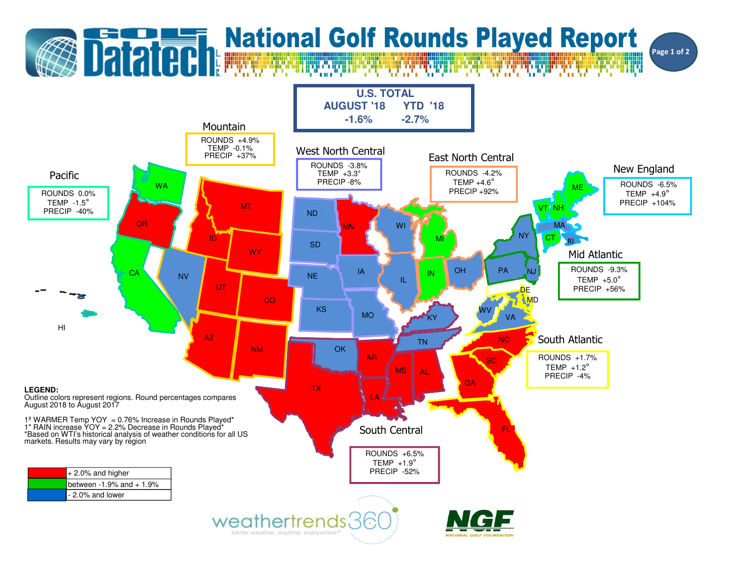